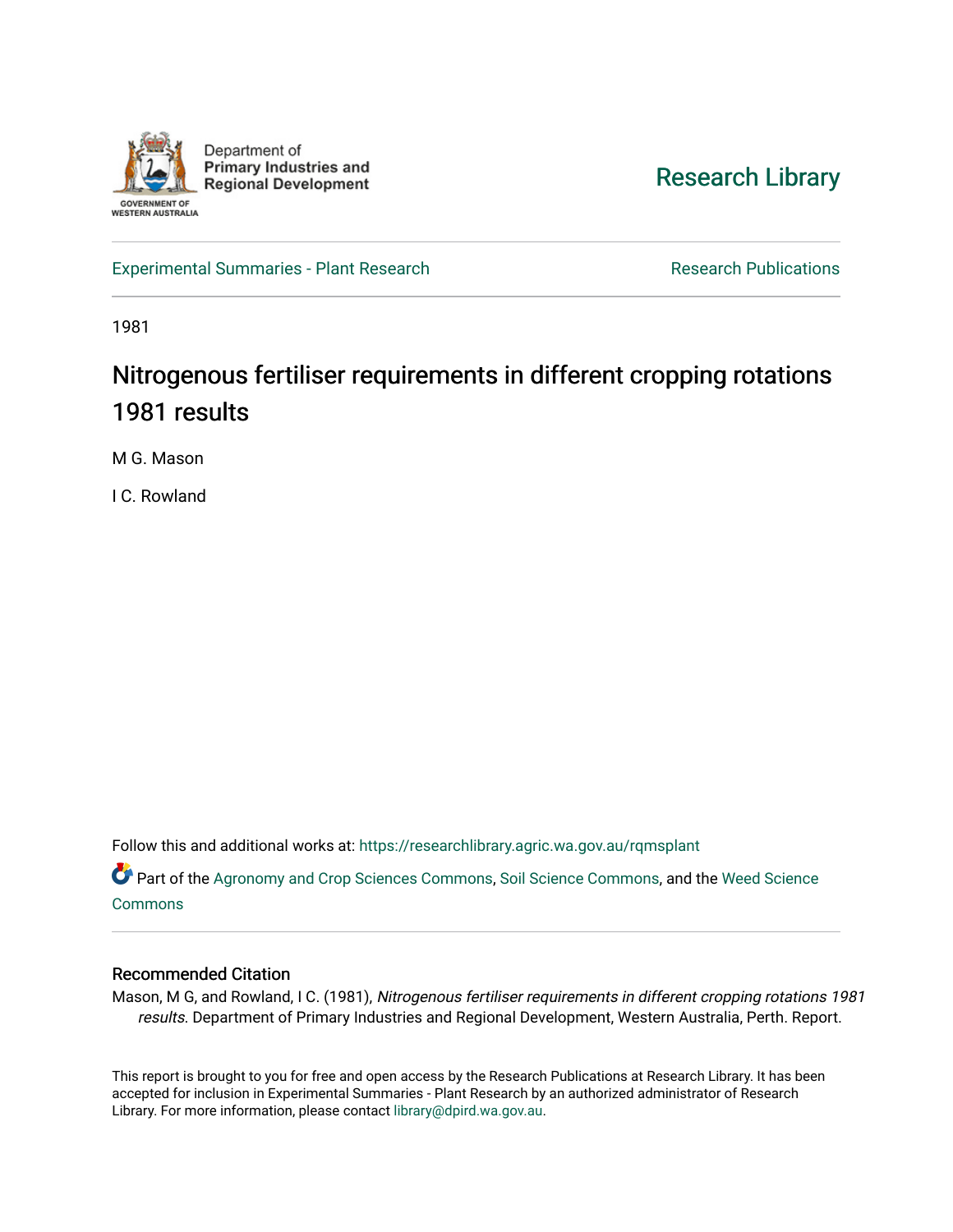

[Research Library](https://researchlibrary.agric.wa.gov.au/) 

[Experimental Summaries - Plant Research](https://researchlibrary.agric.wa.gov.au/rqmsplant) **Research Research Rublications** Research Publications

1981

# Nitrogenous fertiliser requirements in different cropping rotations 1981 results

M G. Mason

I C. Rowland

Follow this and additional works at: [https://researchlibrary.agric.wa.gov.au/rqmsplant](https://researchlibrary.agric.wa.gov.au/rqmsplant?utm_source=researchlibrary.agric.wa.gov.au%2Frqmsplant%2F291&utm_medium=PDF&utm_campaign=PDFCoverPages) 

Part of the [Agronomy and Crop Sciences Commons,](http://network.bepress.com/hgg/discipline/103?utm_source=researchlibrary.agric.wa.gov.au%2Frqmsplant%2F291&utm_medium=PDF&utm_campaign=PDFCoverPages) [Soil Science Commons,](http://network.bepress.com/hgg/discipline/163?utm_source=researchlibrary.agric.wa.gov.au%2Frqmsplant%2F291&utm_medium=PDF&utm_campaign=PDFCoverPages) and the [Weed Science](http://network.bepress.com/hgg/discipline/1267?utm_source=researchlibrary.agric.wa.gov.au%2Frqmsplant%2F291&utm_medium=PDF&utm_campaign=PDFCoverPages) [Commons](http://network.bepress.com/hgg/discipline/1267?utm_source=researchlibrary.agric.wa.gov.au%2Frqmsplant%2F291&utm_medium=PDF&utm_campaign=PDFCoverPages)

# Recommended Citation

Mason, M G, and Rowland, I C. (1981), Nitrogenous fertiliser requirements in different cropping rotations 1981 results. Department of Primary Industries and Regional Development, Western Australia, Perth. Report.

This report is brought to you for free and open access by the Research Publications at Research Library. It has been accepted for inclusion in Experimental Summaries - Plant Research by an authorized administrator of Research Library. For more information, please contact [library@dpird.wa.gov.au.](mailto:library@dpird.wa.gov.au)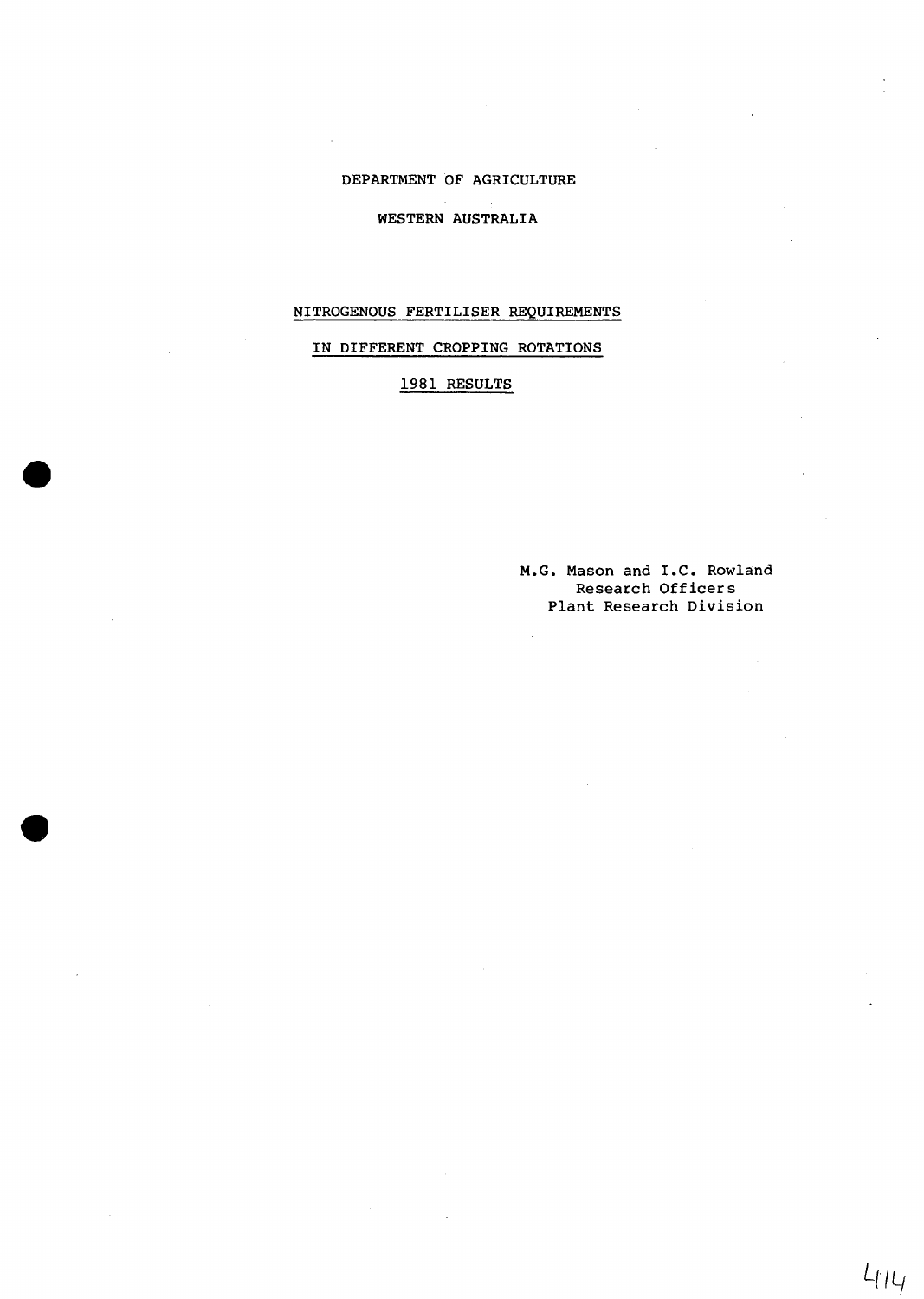### DEPARTMENT OF AGRICULTURE

#### WESTERN AUSTRALIA

### NITROGENOUS FERTILISER REQUIREMENTS

# IN DIFFERENT CROPPING ROTATIONS

# 1981 RESULTS

 $\ddot{\phantom{a}}$ 

M.G. Mason and I.C. Rowland Research Officers Plant Research Division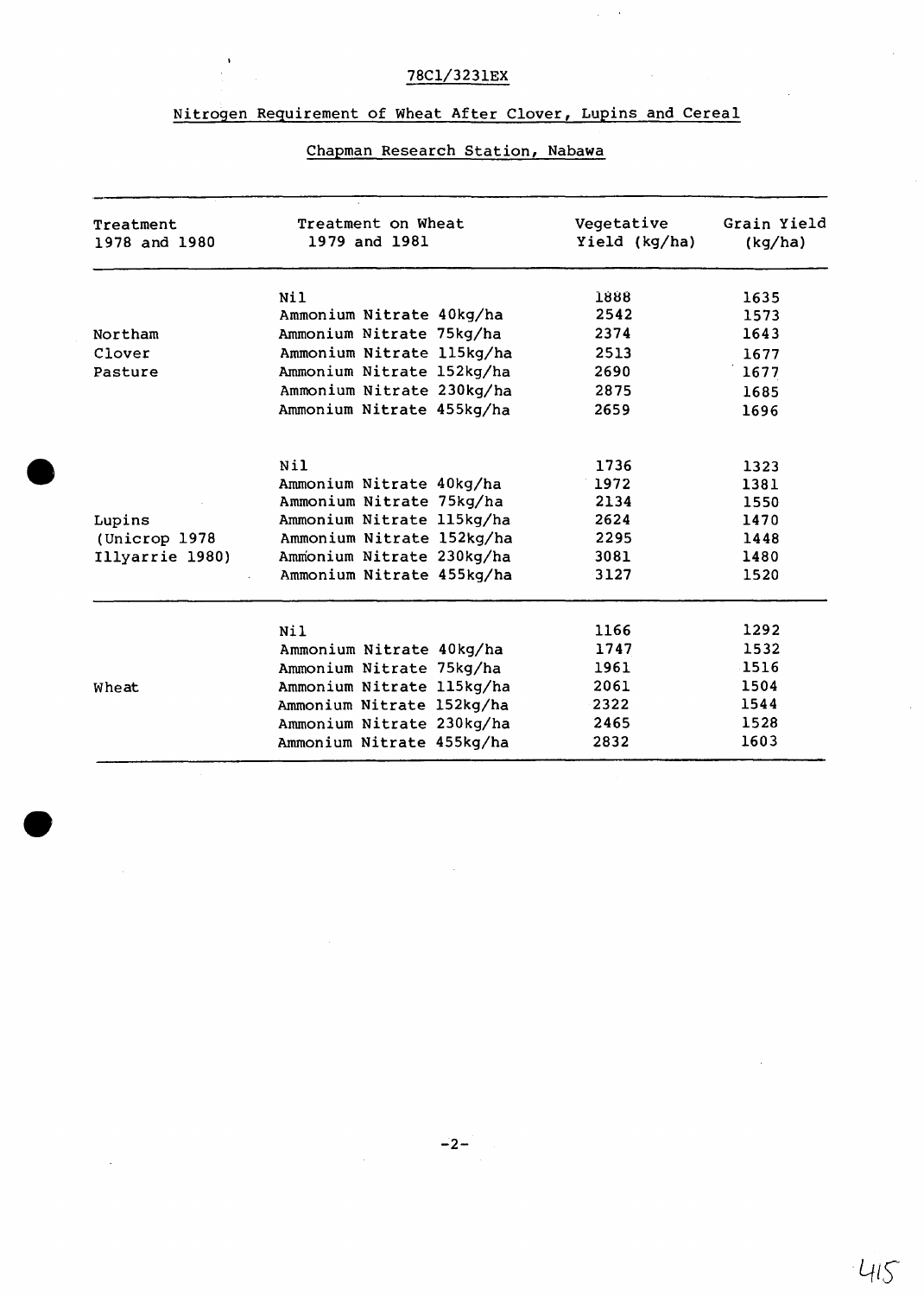# 78Cl/3231EX

 $\frac{1}{2}$ 

 $\omega \rightarrow \infty$ 

# Nitrogen Requirement of Wheat After Clover, Lupins and Cereal

# Chapman Research Station, Nabawa

| Treatment<br>1978 and 1980 | Treatment on Wheat<br>1979 and 1981 | Vegetative<br>Yield (kg/ha) | Grain Yield<br>(kg/ha) |
|----------------------------|-------------------------------------|-----------------------------|------------------------|
|                            | Ni1                                 | 1888                        | 1635                   |
|                            | Ammonium Nitrate 40kg/ha            | 2542                        | 1573                   |
| Northam                    | Ammonium Nitrate 75kg/ha            | 2374                        | 1643                   |
| Clover                     | Ammonium Nitrate 115kg/ha           | 2513                        | 1677                   |
| Pasture                    | Ammonium Nitrate 152kg/ha           | 2690                        | 1677                   |
|                            | Ammonium Nitrate 230kg/ha           | 2875                        | 1685                   |
|                            | Ammonium Nitrate 455kg/ha           | 2659                        | 1696                   |
|                            | Nil                                 | 1736                        | 1323                   |
|                            | Ammonium Nitrate 40kg/ha            | 1972                        | 1381                   |
|                            | Ammonium Nitrate 75kg/ha            | 2134                        | 1550                   |
| Lupins                     | Ammonium Nitrate 115kg/ha           | 2624                        | 1470                   |
| (Unicrop 1978              | Ammonium Nitrate 152kg/ha           | 2295                        | 1448                   |
| Illyarrie 1980)            | Ammonium Nitrate 230kg/ha           | 3081                        | 1480                   |
|                            | Ammonium Nitrate 455kg/ha           | 3127                        | 1520                   |
|                            | Ni1                                 | 1166                        | 1292                   |
|                            | Ammonium Nitrate 40kg/ha            | 1747                        | 1532                   |
|                            | Ammonium Nitrate 75kg/ha            | 1961                        | 1516                   |
| Wheat                      | Ammonium Nitrate 115kg/ha           | 2061                        | 1504                   |
|                            | Ammonium Nitrate 152kg/ha           | 2322                        | 1544                   |
|                            | Ammonium Nitrate 230kg/ha           | 2465                        | 1528                   |
|                            | Ammonium Nitrate 455kg/ha           | 2832                        | 1603                   |

 $-415$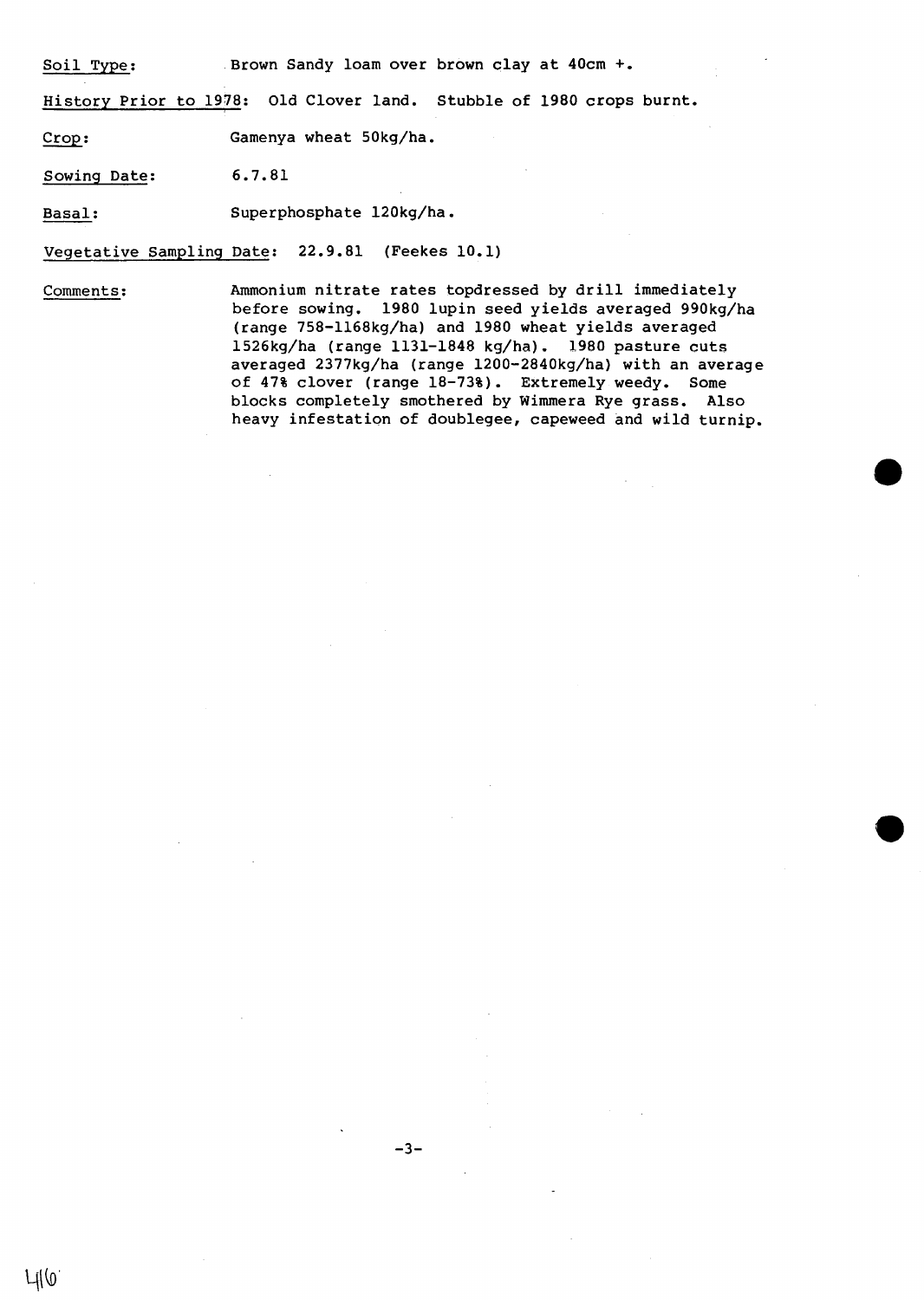Soil Type: Brown Sandy loam over brown clay at 40cm +.

History Prior to 1978: Old Clover land. Stubble of 1980 crops burnt.

Crop: Gamenya wheat 50kg/ha.

Sowing Date: 6.7.81

Basal: Superphosphate 120kg/ha.

Vegetative Sampling Date: 22.9.81 (Feekes 10.1)

 $\mathcal{L}$ 

Comments: Ammonium nitrate rates topdressed by drill immediately before sowing. 1980 lupin seed yields averaged 990kg/ha (range 758-1168kg/ha) and 1980 wheat yields averaged 1526kg/ha (range 1131-1848 kg/ha). 1980 pasture cuts averaged 2377kg/ha (range 1200-2840kg/ha) with an average of 47% clover (range 18-73%). Extremely weedy. Some blocks completely smothered by Wimmera Rye grass. Also heavy infestation of doublegee, capeweed and wild turnip.

-3-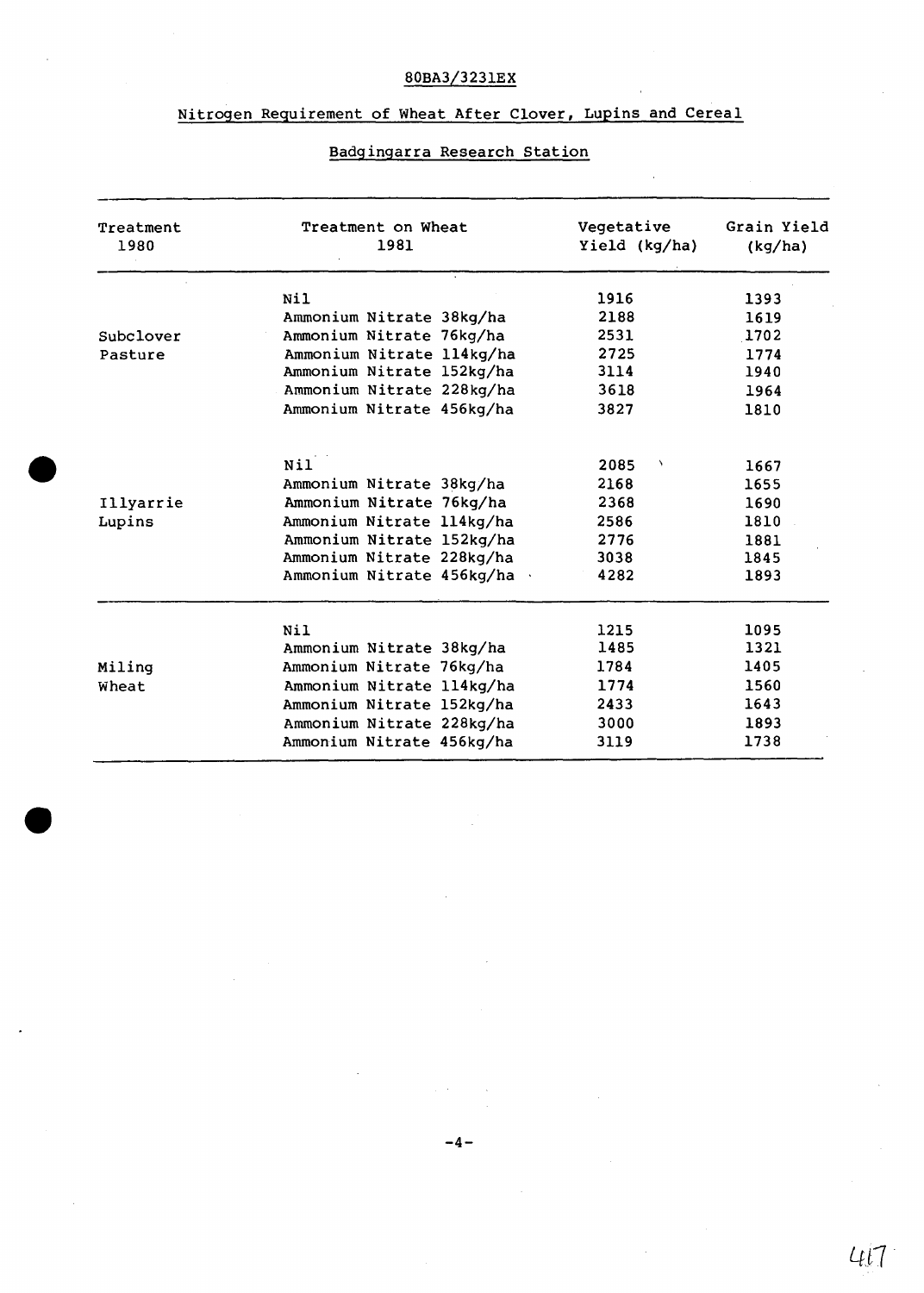# 80BA3/3231EX

# Nitrogen Requirement of Wheat After Clover, Lupins and Cereal

# Badgingarra Research Station

| Treatment<br>1980 | Treatment on Wheat<br>1981 | Vegetative<br>Yield (kg/ha) | Grain Yield<br>(kg/ha) |
|-------------------|----------------------------|-----------------------------|------------------------|
|                   | Ni1                        | 1916                        | 1393                   |
|                   | Ammonium Nitrate 38kg/ha   | 2188                        | 1619                   |
| Subclover         | Ammonium Nitrate 76kg/ha   | 2531                        | 1702                   |
| Pasture           | Ammonium Nitrate 114kg/ha  | 2725                        | 1774                   |
|                   | Ammonium Nitrate 152kg/ha  | 3114                        | 1940                   |
|                   | Ammonium Nitrate 228kg/ha  | 3618                        | 1964                   |
|                   | Ammonium Nitrate 456kg/ha  | 3827                        | 1810                   |
|                   | N <sub>1</sub>             | 2085<br>$\lambda$           | 1667                   |
|                   | Ammonium Nitrate 38kg/ha   | 2168                        | 1655                   |
| Illyarrie         | Ammonium Nitrate 76kg/ha   | 2368                        | 1690                   |
| Lupins            | Ammonium Nitrate 114kg/ha  | 2586                        | 1810                   |
|                   | Ammonium Nitrate 152kg/ha  | 2776                        | 1881                   |
|                   | Ammonium Nitrate 228kg/ha  | 3038                        | 1845                   |
|                   | Ammonium Nitrate 456kg/ha  | 4282                        | 1893                   |
|                   | Nil                        | 1215                        | 1095                   |
|                   | Ammonium Nitrate 38kg/ha   | 1485                        | 1321                   |
| Miling            | Ammonium Nitrate 76kg/ha   | 1784                        | 1405                   |
| Wheat             | Ammonium Nitrate 114kg/ha  | 1774                        | 1560                   |
|                   | Ammonium Nitrate 152kg/ha  | 2433                        | 1643                   |
|                   | Ammonium Nitrate 228kg/ha  | 3000                        | 1893                   |
|                   | Ammonium Nitrate 456kg/ha  | 3119                        | 1738                   |

 $4l7$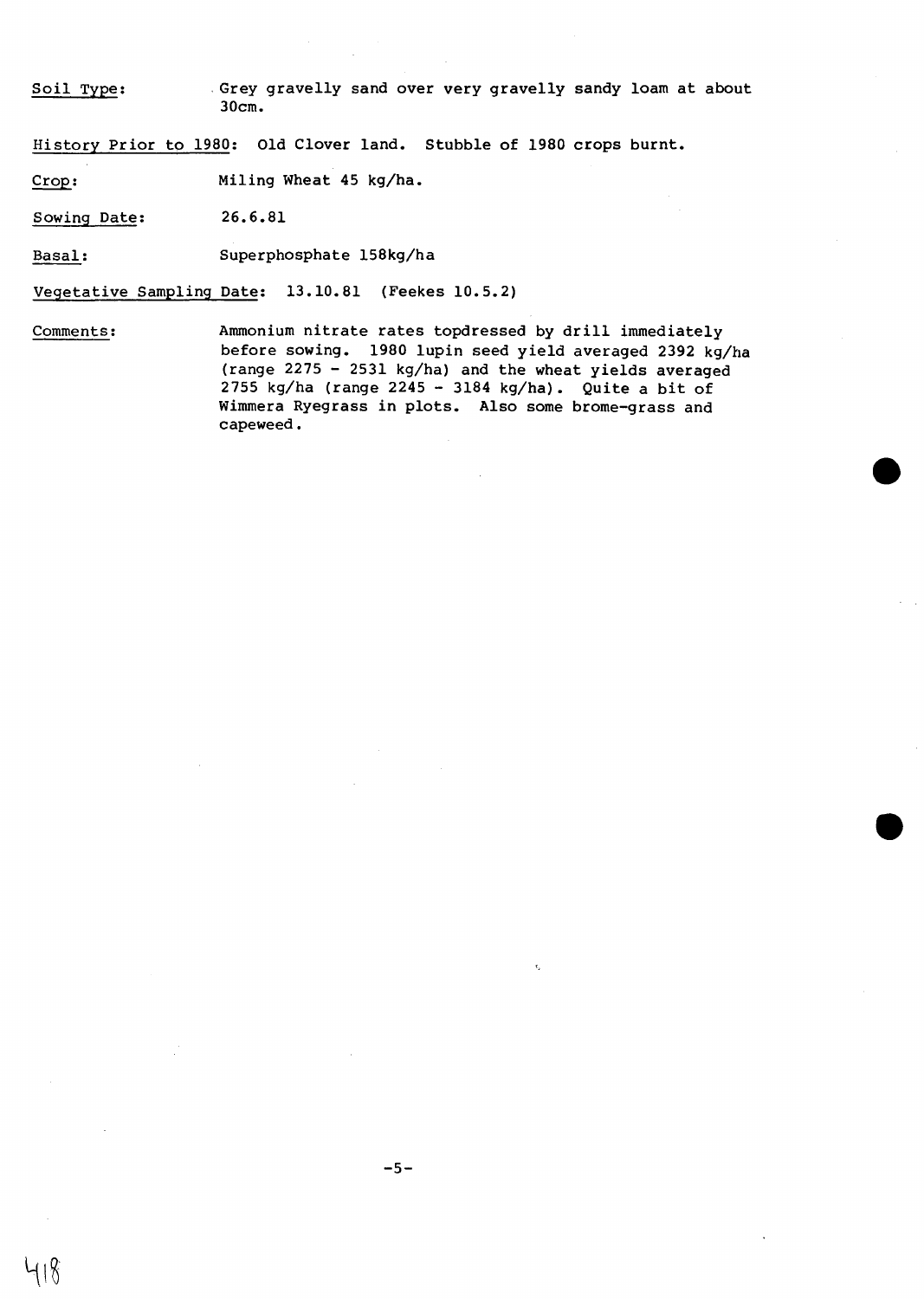Soil Type: . Grey gravelly sand over very gravelly sandy loam at about 30cm.

History Prior to 1980: Old Clover land. Stubble of 1980 crops burnt.

Crop: Miling Wheat 45 kg/ha.

Sowing Date: 26.6.81

Basal: Superphosphate 158kg/ha

Vegetative Sampling Date: 13.10.81 (Feekes 10.5.2)

Comments: Ammonium nitrate rates topdressed by drill immediately before sowing. 1980 lupin seed yield averaged 2392 kg/ha (range 2275 - 2531 kg/ha) and the wheat yields averaged 2755 kg/ha (range 2245 - 3184 kg/ha). Quite a bit of Wimmera Ryegrass in plots. Also some brome-grass and capeweed.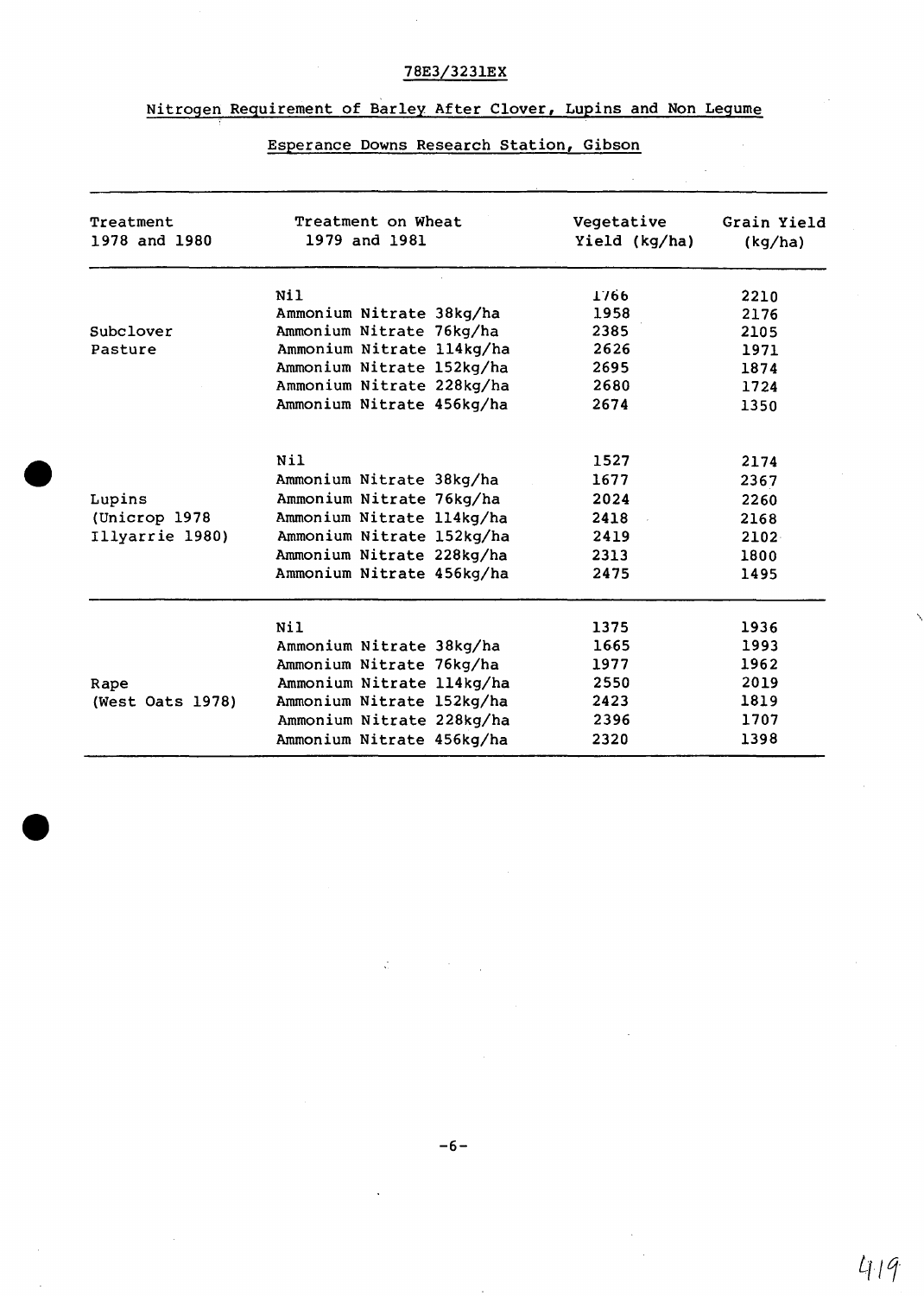# 78E3/3231EX

# Nitrogen Requirement of Barley After Clover, Lupins and Non Legume

| Treatment<br>1978 and 1980 | Treatment on Wheat<br>1979 and 1981 | Vegetative<br>Yield (kg/ha) | Grain Yield<br>(kg/ha) |
|----------------------------|-------------------------------------|-----------------------------|------------------------|
|                            | Nil                                 | 1766                        | 2210                   |
|                            | Ammonium Nitrate 38kg/ha            | 1958                        | 2176                   |
| Subclover                  | Ammonium Nitrate 76kg/ha            | 2385                        | 2105                   |
| Pasture                    | Ammonium Nitrate 114kg/ha           | 2626                        | 1971                   |
|                            | Ammonium Nitrate 152kg/ha           | 2695                        | 1874                   |
|                            | Ammonium Nitrate 228kg/ha           | 2680                        | 1724                   |
|                            | Ammonium Nitrate 456kg/ha           | 2674                        | 1350                   |
|                            | Nil                                 | 1527                        | 2174                   |
|                            | Ammonium Nitrate 38kg/ha            | 1677                        | 2367                   |
| Lupins                     | Ammonium Nitrate 76kg/ha            | 2024                        | 2260                   |
| (Unicrop 1978              | Ammonium Nitrate 114kg/ha           | 2418                        | 2168                   |
| Illyarrie 1980)            | Ammonium Nitrate 152kg/ha           | 2419                        | 2102                   |
|                            | Ammonium Nitrate 228kg/ha           | 2313                        | 1800                   |
|                            | Ammonium Nitrate 456kg/ha           | 2475                        | 1495                   |
|                            | <b>Nil</b>                          | 1375                        | 1936                   |
|                            | Ammonium Nitrate 38kg/ha            | 1665                        | 1993                   |
|                            | Ammonium Nitrate 76kg/ha            | 1977                        | 1962                   |
| Rape                       | Ammonium Nitrate 114kg/ha           | 2550                        | 2019                   |
| (West Oats 1978)           | Ammonium Nitrate 152kg/ha           | 2423                        | 1819                   |
|                            | Ammonium Nitrate 228kg/ha           | 2396                        | 1707                   |
|                            | Ammonium Nitrate 456kg/ha           | 2320                        | 1398                   |

# Esperance Downs Research Station, Gibson

 $\frac{1}{\sqrt{2}}$ 

 $419$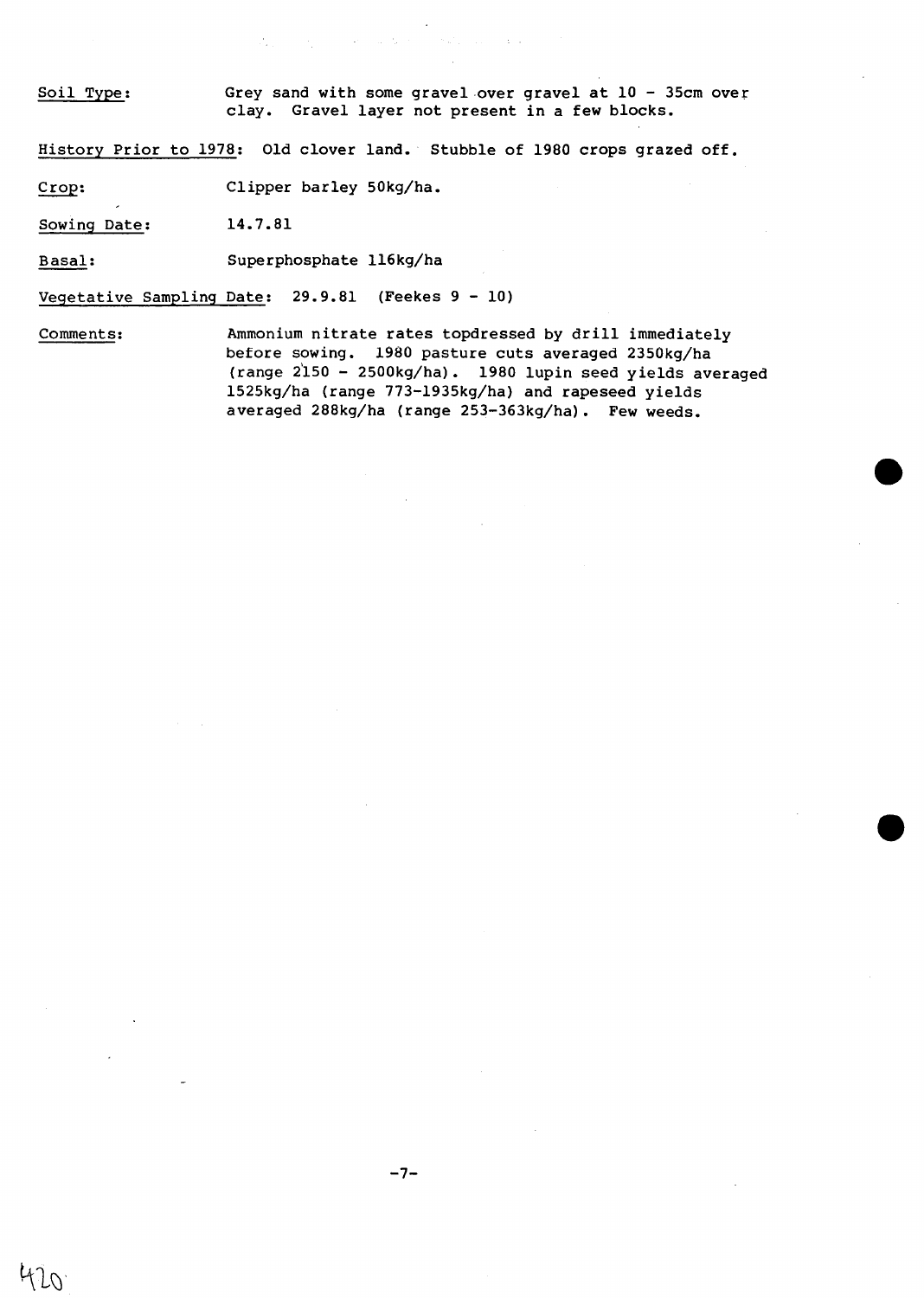Soil Type: Grey sand with some gravel over gravel at 10 - 35cm over clay. Gravel layer not present in a few blocks.

Report Follows

History Prior to 1978: Old clover land. Stubble of 1980 crops grazed off.

 $\mathcal{A}^{\mathcal{A}}_{\mathcal{A}}$  , where  $\mathcal{A}^{\mathcal{A}}_{\mathcal{A}}$  , and  $\mathcal{A}^{\mathcal{A}}_{\mathcal{A}}$ 

Crop: Clipper barley 50kg/ha.

Sowing Date: 14.7.81

Basal: Superphosphate 116kg/ha

Vegetative Sampling Date: 29.9.81 (Feekes 9 - 10)

Comments: Ammonium nitrate rates topdressed by drill immediately before sowing. 1980 pasture cuts averaged 2350kg/ha (range 2'150 - 2500kg/ha). 1980 lupin seed yields averaged 1525kg/ha (range 773-1935kg/ha) and rapeseed yields averaged 288kg/ha (range 253-363kg/ha). Few weeds.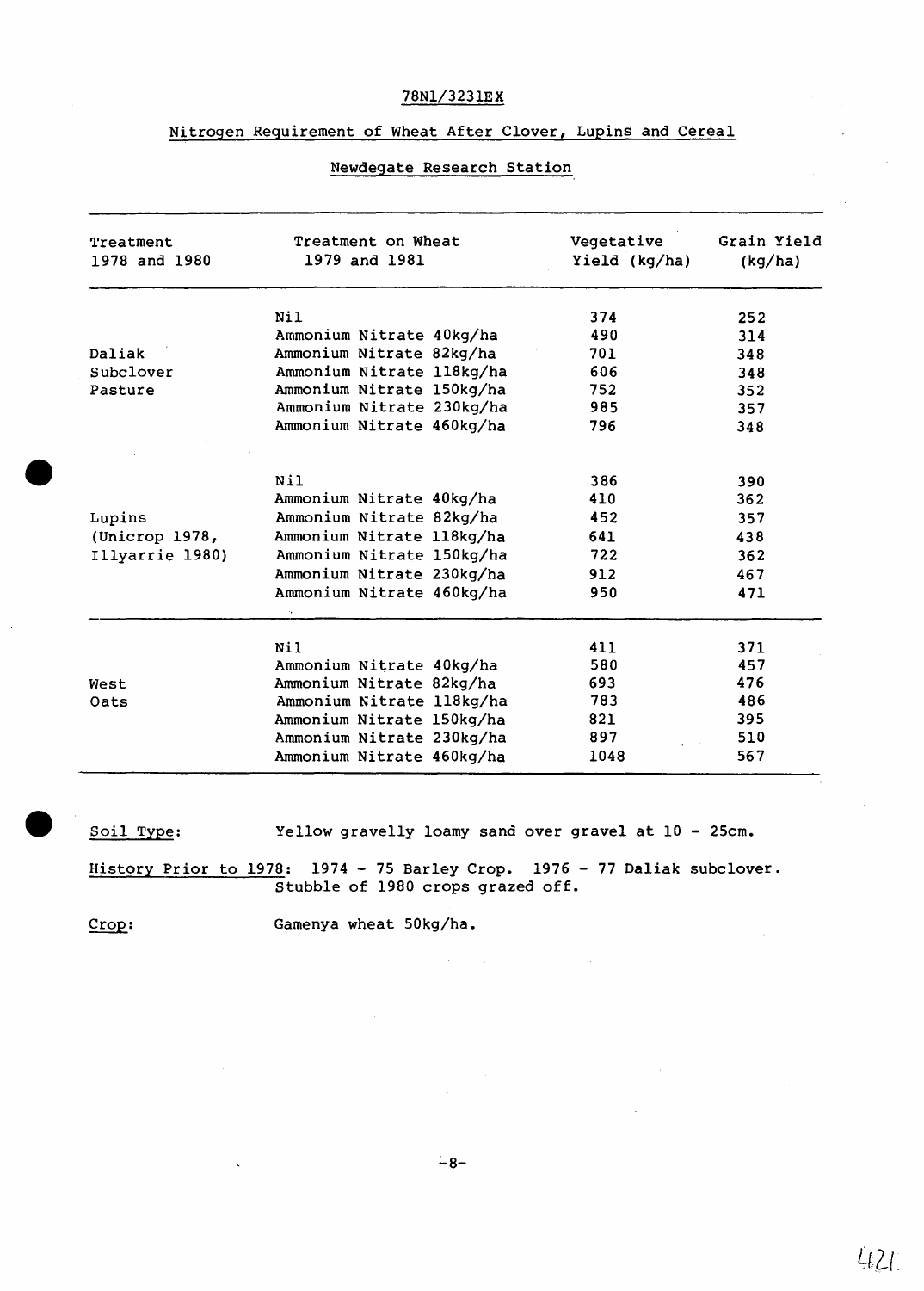#### 78Nl/3231EX

#### Nitrogen Requirement of Wheat After Clover, Lupins and Cereal

# Treatment Treatment on Wheat Creatative Grain Yield<br>1978 and 1980 1979 and 1981 1981 Vield (kg/ha) (kg/ha) Yield (kg/ha) Nil 252 Ammonium Nitrate 40kg/ha 490 490 314 Daliak Mamonium Nitrate 82kg/ha 701 348<br>Subclover Ammonium Nitrate 118kg/ha 606 348 Subclover Mmmonium Nitrate 118kg/ha 606 548<br>Pasture Ammonium Nitrate 150kg/ha 752 352 Pasture Ammonium Nitrate 150kg/ha 752 352 Ammonium Nitrate 230kg/ha 985<br>Ammonium Nitrate 460kg/ha 796 Ammonium Nitrate 460kg/ha 796 348 Nil 386 390 Ammonium Nitrate 40kg/ha 410 410 362 Lupins Ammonium Nitrate 82kg/ha 452 357 (Unicrop 1978, Ammonium Nitrate 118kg/ha 641 438 Illyarrie 1980) Ammonium Nitrate 150kg/ha 722 362 Ammonium Nitrate 230kg/ha Ammonium Nitrate 460kg/ha 950 471 Nil 411 371 Ammonium Nitrate 40kg/ha 580 457 West **Ammonium Nitrate 82kg/ha** Oats Ammonium Nitrate 118kg/ha 783 486 Ammonium Nitrate 150kg/ha 821 395<br>Ammonium Nitrate 230kg/ha 897 510 Ammonium Nitrate 230kg/ha 897 510<br>Ammonium Nitrate 460kg/ha 1048 567

#### Newdegate Research Station

Soil Type: Yellow gravelly loamy sand over gravel at 10 - 25cm.

History Prior to 1978: 1974 - 75 Barley Crop. 1976 - 77 Daliak subclover. Stubble of 1980 crops grazed off.

Ammonium Nitrate 460kg/ha 1048

Crop: Gamenya wheat 50kg/ha.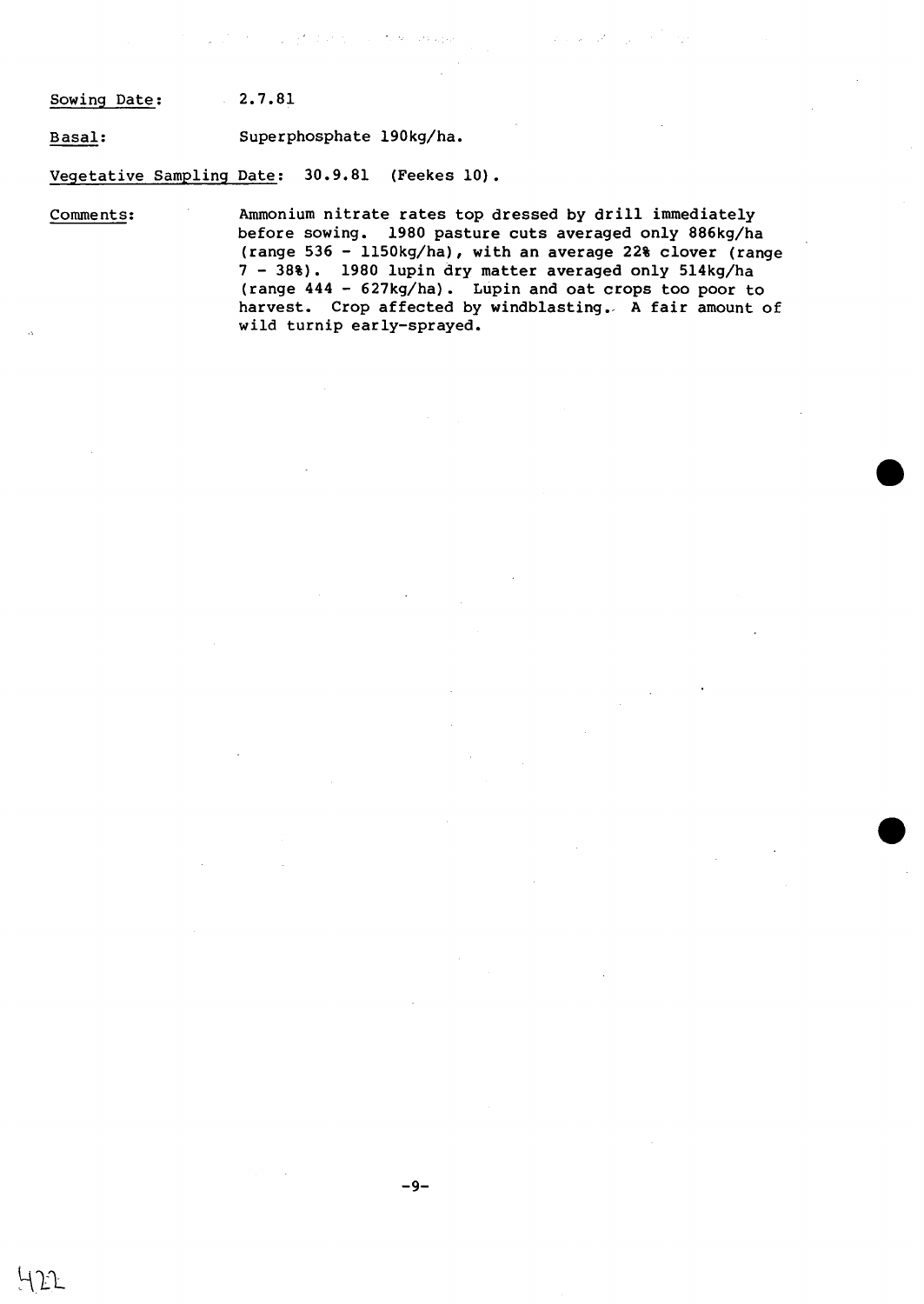Sowing Date: 2.7.81

Basal: Superphosphate 190kg/ha.

Vegetative Sampling Date: 30.9.81 (Feekes 10).

Comments: Ammonium nitrate rates top dressed by drill immediately before sowing. 1980 pasture cuts averaged only 886kg/ha (range 536 - 1150kg/ha), with an average 22% clover (range 7 - 38%). 1980 lupin dry matter averaged only 514kg/ha (range 444 - 627kg/ha). Lupin and oat crops too poor to harvest. Crop affected by windblasting. A fair amount of wild turnip early-sprayed.

 $\sim 10^{11}$  m  $^{-1}$ 

and the company of the strainer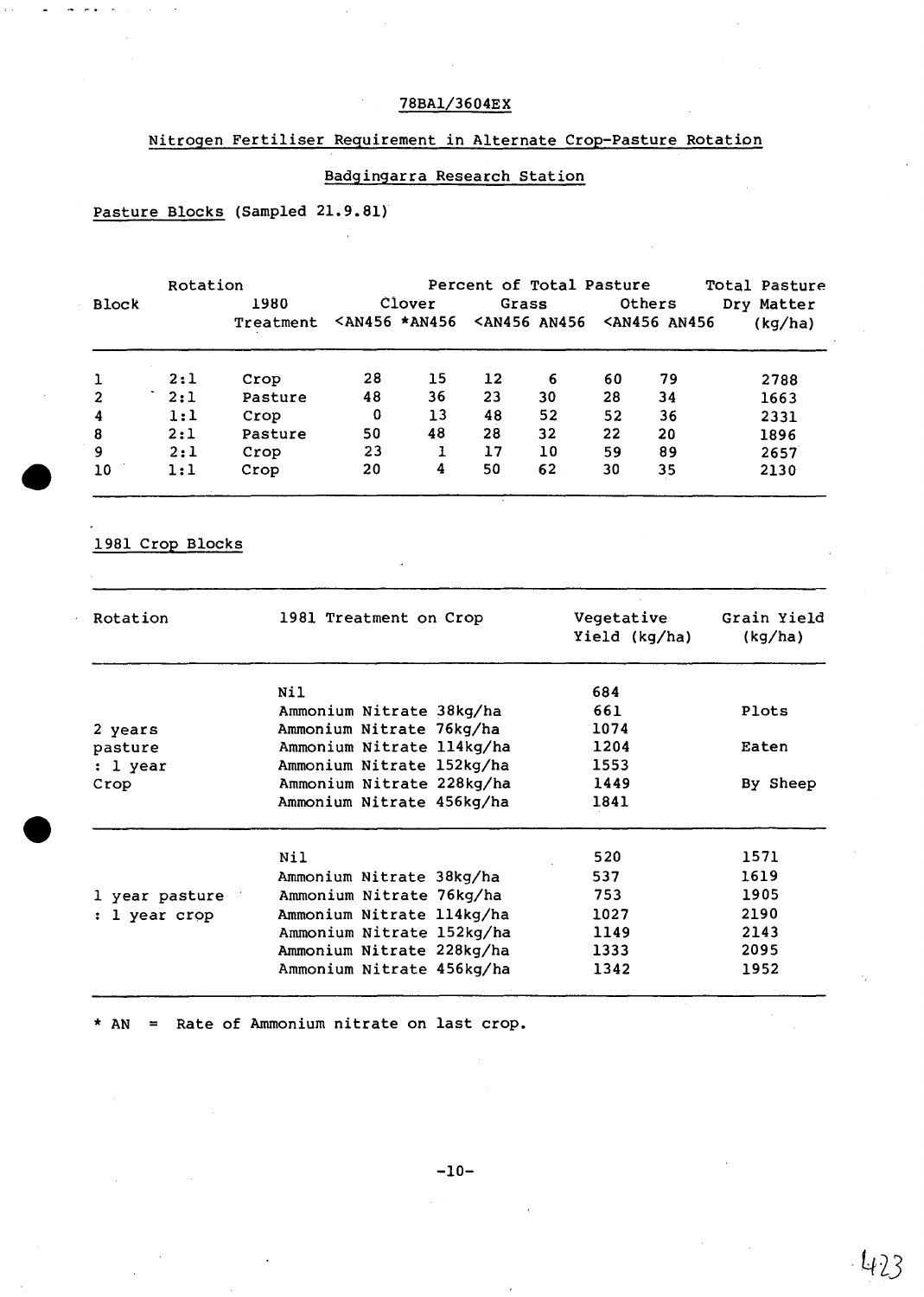# 78BA1/3604EX

# Nitrogen Fertiliser Requirement in Alternate Crop-Pasture Rotation

### Badgingarra Research Station

### Pasture Blocks (Sampled 21.9.81)

|              | Rotation |           | Percent of Total Pasture                                                                                                                                    |        |       |                                                                                                  |    |                                                 | Total Pasture |
|--------------|----------|-----------|-------------------------------------------------------------------------------------------------------------------------------------------------------------|--------|-------|--------------------------------------------------------------------------------------------------|----|-------------------------------------------------|---------------|
| <b>Block</b> |          | 1980      |                                                                                                                                                             | Clover | Grass |                                                                                                  |    | Others                                          | Dry Matter    |
|              |          | Treatment | <an456 *an456<="" th=""><th></th><th></th><th><an456 an456<="" th=""><th></th><th><an456 an456<="" th=""><th>(kg/ha)</th></an456></th></an456></th></an456> |        |       | <an456 an456<="" th=""><th></th><th><an456 an456<="" th=""><th>(kg/ha)</th></an456></th></an456> |    | <an456 an456<="" th=""><th>(kg/ha)</th></an456> | (kg/ha)       |
|              | 2:1      | Crop      | 28                                                                                                                                                          | 15     | 12    | 6                                                                                                | 60 | 79                                              | 2788          |
| 2            | 2:1      | Pasture   | 48                                                                                                                                                          | 36     | 23    | 30                                                                                               | 28 | 34                                              | 1663          |
| 4            | 1:1      | Crop      | 0                                                                                                                                                           | 13     | 48    | 52                                                                                               | 52 | 36                                              | 2331          |
| 8            | 2:1      | Pasture   | 50                                                                                                                                                          | 48     | 28    | 32                                                                                               | 22 | 20                                              | 1896          |
| 9            | 2:1      | Crop      | 23                                                                                                                                                          |        | 17    | 10                                                                                               | 59 | 89                                              | 2657          |
| 10           | 1:1      | Crop      | 20                                                                                                                                                          | 4      | 50    | 62                                                                                               | 30 | 35                                              | 2130          |

1981 Crop Blocks

| Rotation       | 1981 Treatment on Crop    | Vegetative<br>Yield (kg/ha) | Grain Yield<br>(kg/ha) |
|----------------|---------------------------|-----------------------------|------------------------|
|                | Nil                       | 684                         |                        |
|                | Ammonium Nitrate 38kg/ha  | 661                         | Plots                  |
| 2 years        | Ammonium Nitrate 76kg/ha  | 1074                        |                        |
| pasture        | Ammonium Nitrate 114kg/ha | 1204                        | Eaten                  |
| : 1 year       | Ammonium Nitrate 152kg/ha | 1553                        |                        |
| Crop           | Ammonium Nitrate 228kg/ha | 1449                        | By Sheep               |
|                | Ammonium Nitrate 456kg/ha | 1841                        |                        |
|                | Nil                       | 520                         | 1571                   |
|                | Ammonium Nitrate 38kg/ha  | 537                         | 1619                   |
| 1 year pasture | Ammonium Nitrate 76kg/ha  | 753                         | 1905                   |
| : 1 year crop  | Ammonium Nitrate 114kg/ha | 1027                        | 2190                   |
|                | Ammonium Nitrate 152kg/ha | 1149                        | 2143                   |
|                | Ammonium Nitrate 228kg/ha | 1333                        | 2095                   |
|                | Ammonium Nitrate 456kg/ha | 1342                        | 1952                   |

\* AN = Rate of Ammonium nitrate on last crop.

 $-423$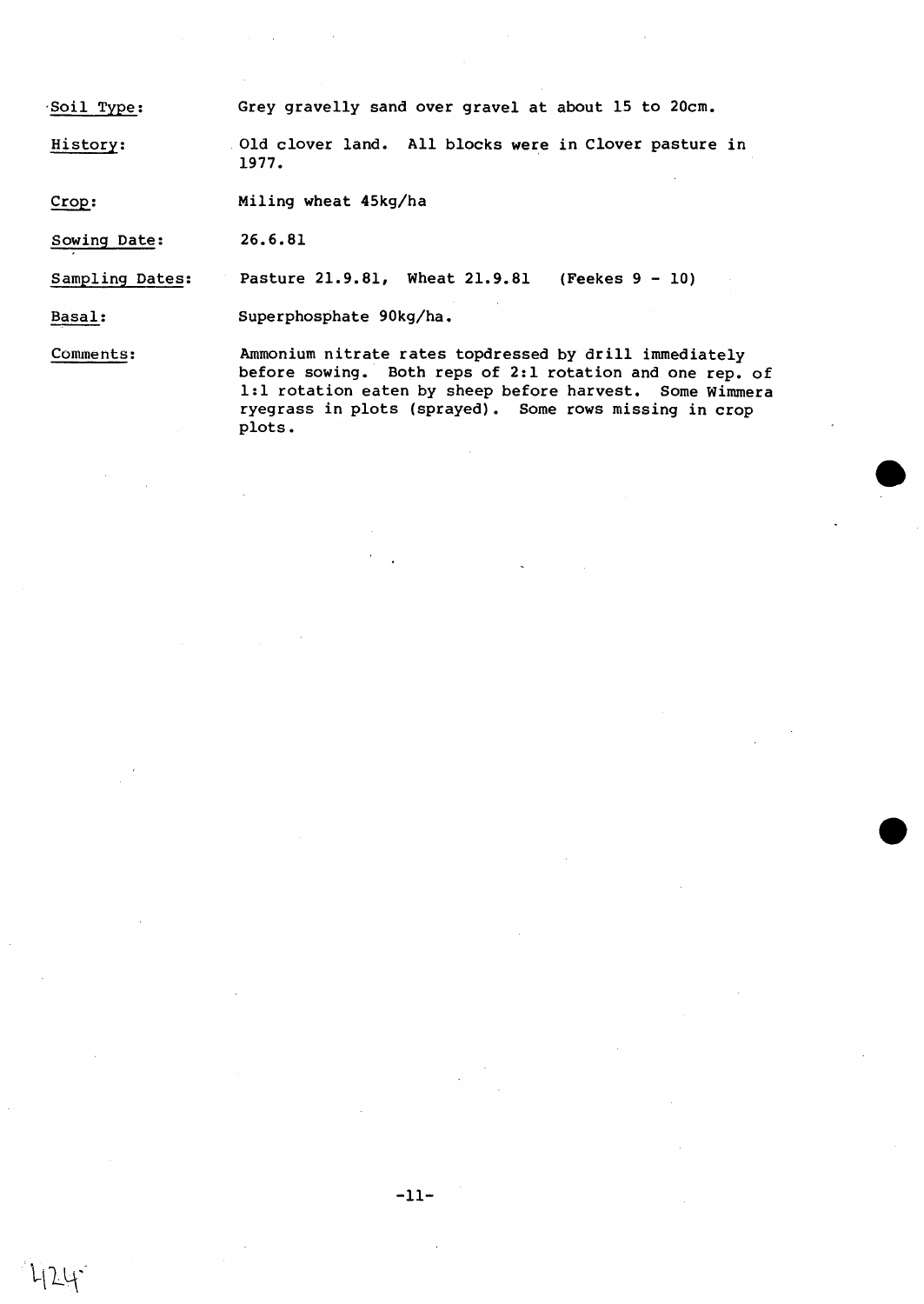·Soil Type: Grey gravelly sand over gravel at about 15 to 20cm.

History: Old clover land. All blocks were in Clover pasture in 1977.

Crop: Miling wheat 45kg/ha

Sowing Date: 26.6.81

 $24 -$ 

Sampling Dates: Pasture 21.9.81, Wheat 21.9.81 (Feekes 9 - 10)

Basal: Superphosphate 90kg/ha.

Comments: Ammonium nitrate rates topdressed by drill immediately before sowing. Both reps of 2:1 rotation and one rep. of 1:1 rotation eaten by sheep before harvest. Some Wimmera ryegrass in plots (sprayed). Some rows missing in crop plots.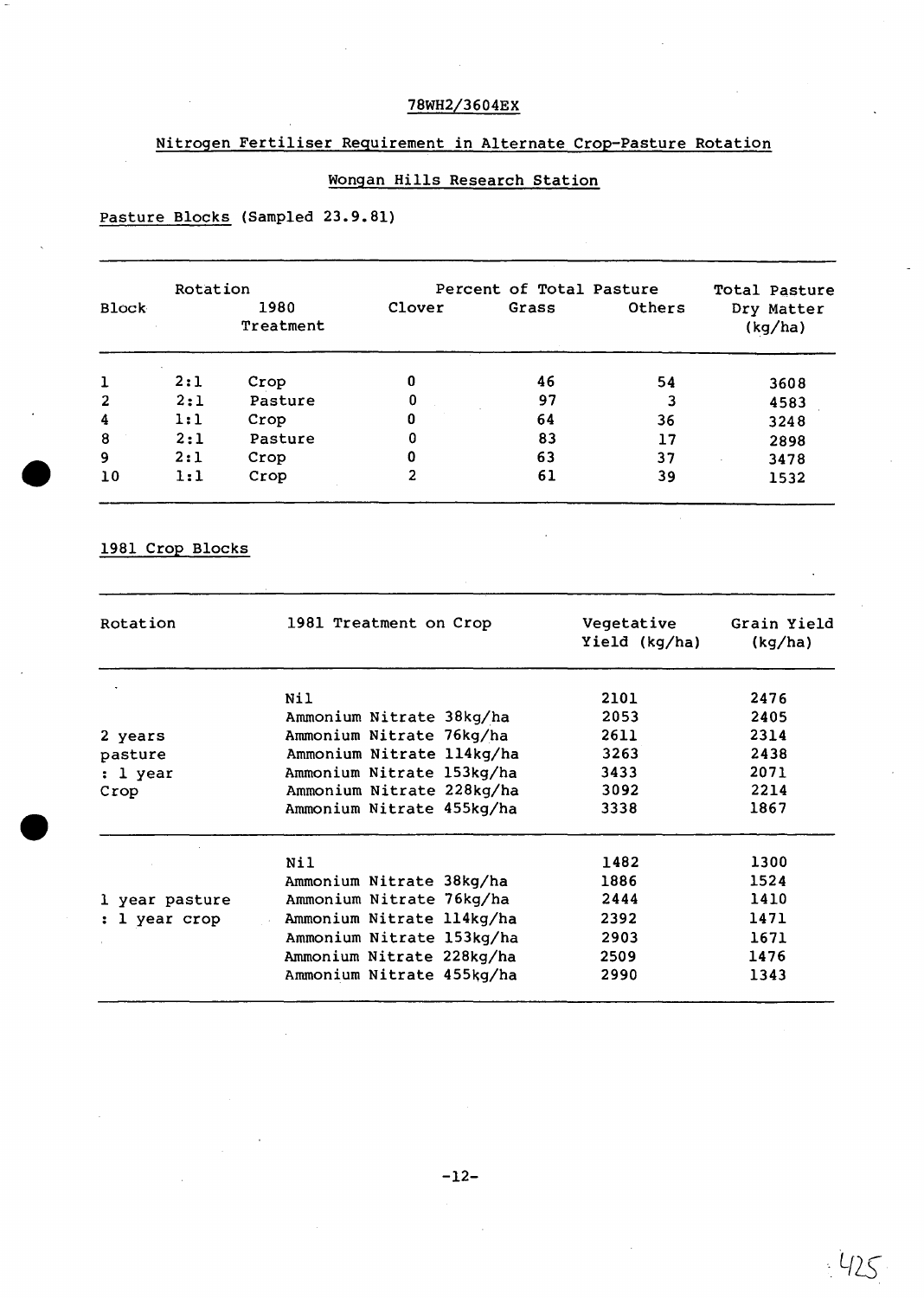# 78WH2/3604EX

### Nitrogen Fertiliser Requirement in Alternate Crop-Pasture Rotation

# Wongan Hills Research Station

# Pasture Blocks (Sampled 23.9.81)

|                | Rotation |                   |        | Percent of Total Pasture |        | Total Pasture         |
|----------------|----------|-------------------|--------|--------------------------|--------|-----------------------|
| <b>Block</b>   |          | 1980<br>Treatment | Clover | Grass                    | Others | Dry Matter<br>(kg/ha) |
| 1              | 2:1      | Crop              | 0      | 46                       | 54     | 3608                  |
| $\overline{2}$ | 2:1      | Pasture           | 0      | 97                       | 3      | 4583                  |
| 4              | 1:1      | Crop              | 0      | 64                       | 36     | 3248                  |
| 8              | 2:1      | Pasture           | 0      | 83                       | 17     | 2898                  |
| 9              | 2:1      | Crop              | 0      | 63                       | 37     | 3478                  |
| 10             | 1:1      | Crop              | 2      | 61                       | 39     | 1532                  |

# 1981 Crop Blocks

| Rotation       | 1981 Treatment on Crop    | Vegetative<br>Yield (kg/ha) | Grain Yield<br>(kg/ha) |
|----------------|---------------------------|-----------------------------|------------------------|
|                | Nil                       | 2101                        | 2476                   |
|                | Ammonium Nitrate 38kg/ha  | 2053                        | 2405                   |
| 2 years        | Ammonium Nitrate 76kg/ha  | 2611                        | 2314                   |
| pasture        | Ammonium Nitrate 114kg/ha | 3263                        | 2438                   |
| : 1 year       | Ammonium Nitrate 153kg/ha | 3433                        | 2071                   |
| Crop           | Ammonium Nitrate 228kg/ha | 3092                        | 2214                   |
|                | Ammonium Nitrate 455kg/ha | 3338                        | 1867                   |
|                | Nil                       | 1482                        | 1300                   |
|                | Ammonium Nitrate 38kg/ha  | 1886                        | 1524                   |
| 1 year pasture | Ammonium Nitrate 76kg/ha  | 2444                        | 1410                   |
| : 1 year crop  | Ammonium Nitrate 114kg/ha | 2392                        | 1471                   |
|                | Ammonium Nitrate 153kg/ha | 2903                        | 1671                   |
|                | Ammonium Nitrate 228kg/ha | 2509                        | 1476                   |
|                | Ammonium Nitrate 455kg/ha | 2990                        | 1343                   |

 $425$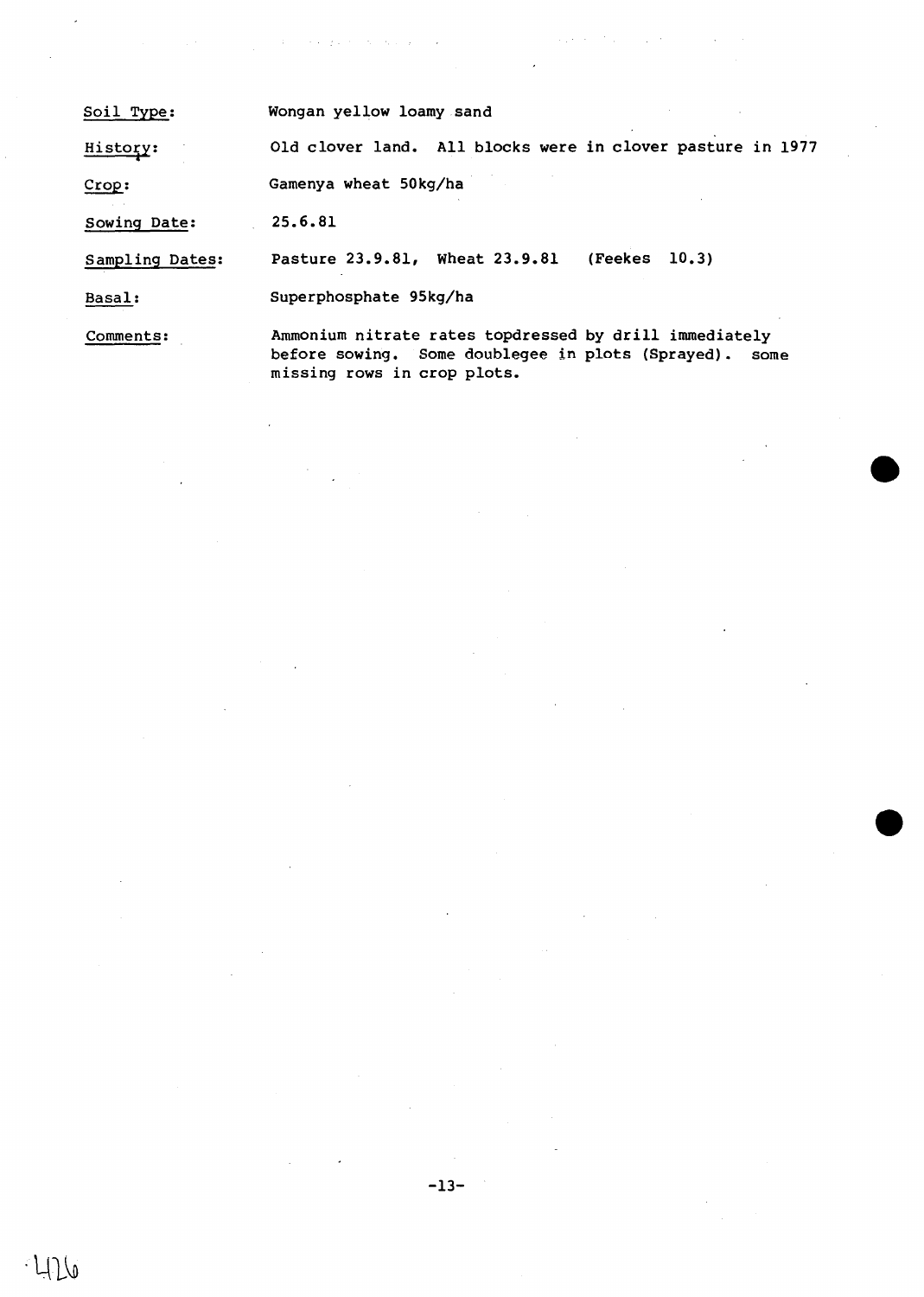| Soil Type:      | Wongan yellow loamy sand                                   |
|-----------------|------------------------------------------------------------|
| History:        | Old clover land. All blocks were in clover pasture in 1977 |
| Crop:           | Gamenya wheat 50kg/ha                                      |
| Sowing Date:    | 25.6.81                                                    |
| Sampling Dates: | Pasture 23.9.81, Wheat 23.9.81<br>(Feekes 10.3)            |

 $\mathcal{O}(\mathcal{A})$  , we can get a set of the state  $\mathcal{A}(\mathcal{A})$  , where

Basal: Superphosphate 95kg/ha

Comments:

Ammonium nitrate rates topdressed by drill immediately before sowing. Some doublegee in plots (Sprayed). some missing rows in crop plots.

 $\hat{\mathcal{L}}$ 

 $\mathcal{L}$  is a set of the set of the set of the set of the set of  $\mathcal{L}$ 

 $\sim$